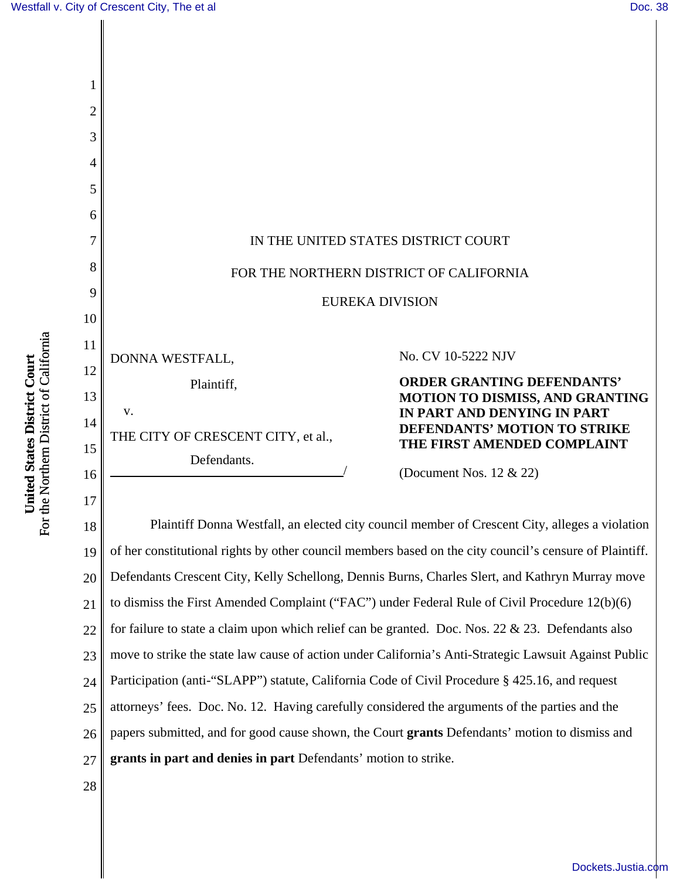

20 21 22 23 24 25 26 27 Defendants Crescent City, Kelly Schellong, Dennis Burns, Charles Slert, and Kathryn Murray move to dismiss the First Amended Complaint ("FAC") under Federal Rule of Civil Procedure 12(b)(6) for failure to state a claim upon which relief can be granted. Doc. Nos. 22  $& 23$ . Defendants also move to strike the state law cause of action under California's Anti-Strategic Lawsuit Against Public Participation (anti-"SLAPP") statute, California Code of Civil Procedure § 425.16, and request attorneys' fees. Doc. No. 12. Having carefully considered the arguments of the parties and the papers submitted, and for good cause shown, the Court **grants** Defendants' motion to dismiss and **grants in part and denies in part** Defendants' motion to strike.

28

**United States District Court** For the Northern District of California

For the Northern District of California United States District Court

[Dockets.Justia.com](http://dockets.justia.com/)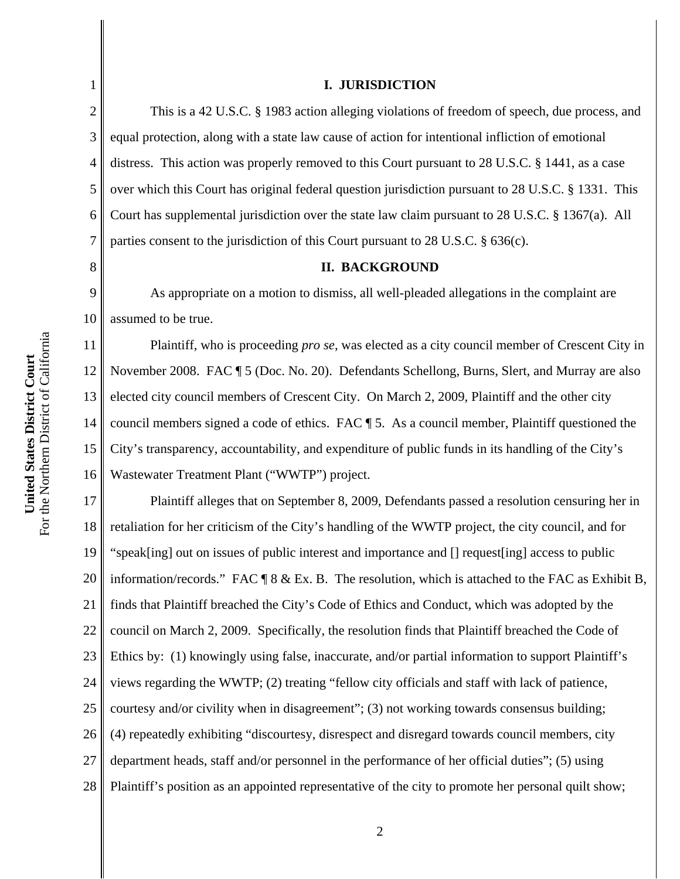1

2

3

4

5

6

7

8

11

12

13

14

15

16

#### **I. JURISDICTION**

This is a 42 U.S.C. § 1983 action alleging violations of freedom of speech, due process, and equal protection, along with a state law cause of action for intentional infliction of emotional distress. This action was properly removed to this Court pursuant to 28 U.S.C. § 1441, as a case over which this Court has original federal question jurisdiction pursuant to 28 U.S.C. § 1331. This Court has supplemental jurisdiction over the state law claim pursuant to 28 U.S.C. § 1367(a). All parties consent to the jurisdiction of this Court pursuant to 28 U.S.C. § 636(c).

#### **II. BACKGROUND**

9 10 As appropriate on a motion to dismiss, all well-pleaded allegations in the complaint are assumed to be true.

Plaintiff, who is proceeding *pro se*, was elected as a city council member of Crescent City in November 2008. FAC ¶ 5 (Doc. No. 20). Defendants Schellong, Burns, Slert, and Murray are also elected city council members of Crescent City. On March 2, 2009, Plaintiff and the other city council members signed a code of ethics. FAC ¶ 5. As a council member, Plaintiff questioned the City's transparency, accountability, and expenditure of public funds in its handling of the City's Wastewater Treatment Plant ("WWTP") project.

17 18 19 20 21 22 23 24 25 26 27 28 Plaintiff alleges that on September 8, 2009, Defendants passed a resolution censuring her in retaliation for her criticism of the City's handling of the WWTP project, the city council, and for "speak[ing] out on issues of public interest and importance and [] request[ing] access to public information/records." FAC ¶ 8 & Ex. B. The resolution, which is attached to the FAC as Exhibit B, finds that Plaintiff breached the City's Code of Ethics and Conduct, which was adopted by the council on March 2, 2009. Specifically, the resolution finds that Plaintiff breached the Code of Ethics by: (1) knowingly using false, inaccurate, and/or partial information to support Plaintiff's views regarding the WWTP; (2) treating "fellow city officials and staff with lack of patience, courtesy and/or civility when in disagreement"; (3) not working towards consensus building; (4) repeatedly exhibiting "discourtesy, disrespect and disregard towards council members, city department heads, staff and/or personnel in the performance of her official duties"; (5) using Plaintiff's position as an appointed representative of the city to promote her personal quilt show;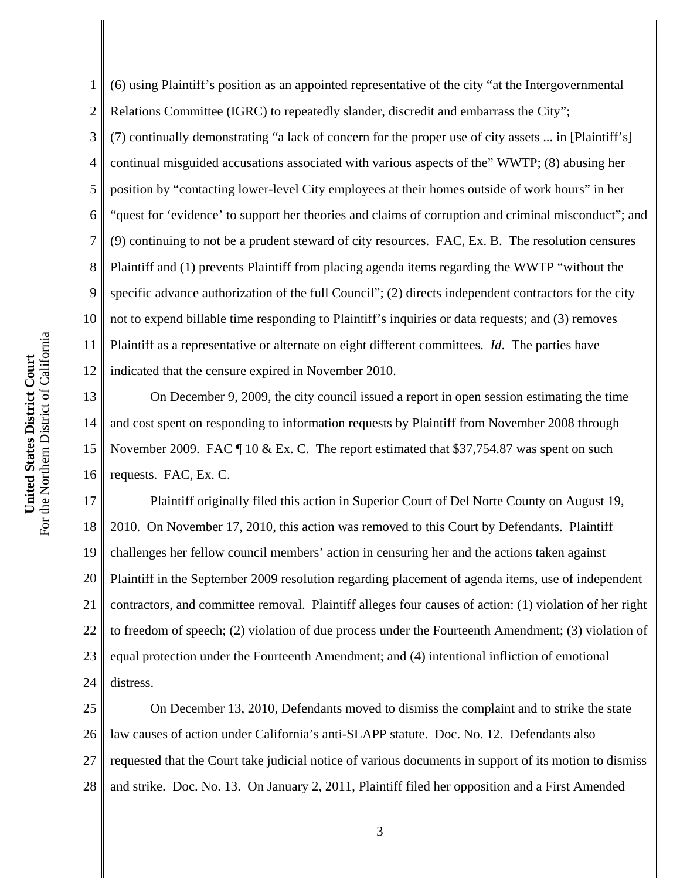1 2 3 4 (6) using Plaintiff's position as an appointed representative of the city "at the Intergovernmental Relations Committee (IGRC) to repeatedly slander, discredit and embarrass the City"; (7) continually demonstrating "a lack of concern for the proper use of city assets ... in [Plaintiff's] continual misguided accusations associated with various aspects of the" WWTP; (8) abusing her position by "contacting lower-level City employees at their homes outside of work hours" in her "quest for 'evidence' to support her theories and claims of corruption and criminal misconduct"; and (9) continuing to not be a prudent steward of city resources. FAC, Ex. B. The resolution censures Plaintiff and (1) prevents Plaintiff from placing agenda items regarding the WWTP "without the specific advance authorization of the full Council"; (2) directs independent contractors for the city not to expend billable time responding to Plaintiff's inquiries or data requests; and (3) removes Plaintiff as a representative or alternate on eight different committees. *Id*. The parties have indicated that the censure expired in November 2010.

On December 9, 2009, the city council issued a report in open session estimating the time and cost spent on responding to information requests by Plaintiff from November 2008 through November 2009. FAC  $\parallel$  10 & Ex. C. The report estimated that \$37,754.87 was spent on such requests. FAC, Ex. C.

18 19 20 21 22 23 24 Plaintiff originally filed this action in Superior Court of Del Norte County on August 19, 2010. On November 17, 2010, this action was removed to this Court by Defendants. Plaintiff challenges her fellow council members' action in censuring her and the actions taken against Plaintiff in the September 2009 resolution regarding placement of agenda items, use of independent contractors, and committee removal. Plaintiff alleges four causes of action: (1) violation of her right to freedom of speech; (2) violation of due process under the Fourteenth Amendment; (3) violation of equal protection under the Fourteenth Amendment; and (4) intentional infliction of emotional distress.

25 26 27 28 On December 13, 2010, Defendants moved to dismiss the complaint and to strike the state law causes of action under California's anti-SLAPP statute. Doc. No. 12. Defendants also requested that the Court take judicial notice of various documents in support of its motion to dismiss and strike. Doc. No. 13. On January 2, 2011, Plaintiff filed her opposition and a First Amended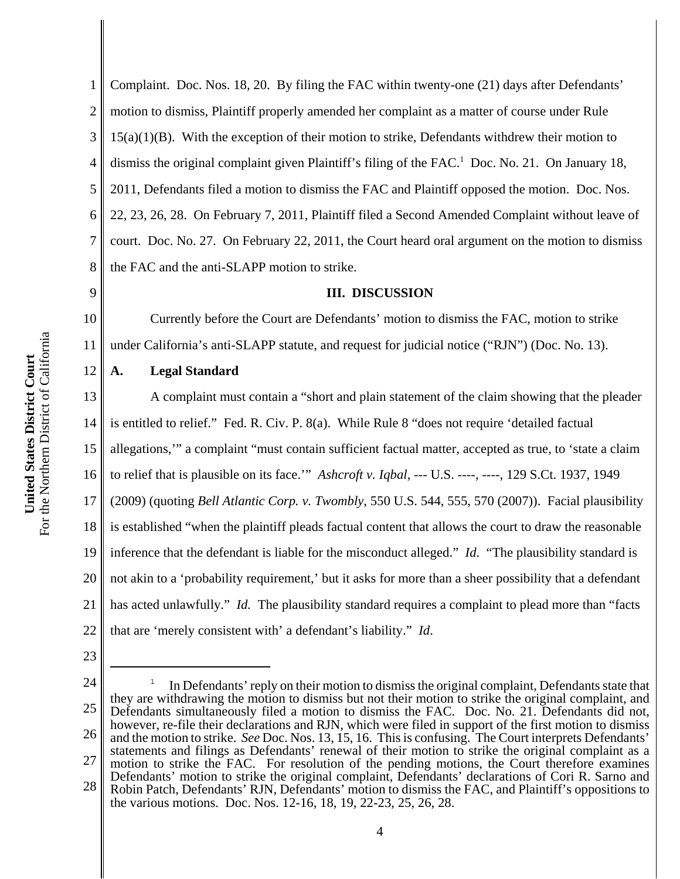1 2 3 4 5 6 7 8 Complaint. Doc. Nos. 18, 20. By filing the FAC within twenty-one (21) days after Defendants' motion to dismiss, Plaintiff properly amended her complaint as a matter of course under Rule  $15(a)(1)(B)$ . With the exception of their motion to strike, Defendants withdrew their motion to dismiss the original complaint given Plaintiff's filing of the FAC.<sup>1</sup> Doc. No. 21. On January 18, 2011, Defendants filed a motion to dismiss the FAC and Plaintiff opposed the motion. Doc. Nos. 22, 23, 26, 28. On February 7, 2011, Plaintiff filed a Second Amended Complaint without leave of court. Doc. No. 27. On February 22, 2011, the Court heard oral argument on the motion to dismiss the FAC and the anti-SLAPP motion to strike.

## **III. DISCUSSION**

10 11 Currently before the Court are Defendants' motion to dismiss the FAC, motion to strike under California's anti-SLAPP statute, and request for judicial notice ("RJN") (Doc. No. 13).

### **A. Legal Standard**

13 14 15 16 17 18 19 20 21 22 A complaint must contain a "short and plain statement of the claim showing that the pleader is entitled to relief." Fed. R. Civ. P. 8(a). While Rule 8 "does not require 'detailed factual allegations,'" a complaint "must contain sufficient factual matter, accepted as true, to 'state a claim to relief that is plausible on its face.'" *Ashcroft v. Iqbal*, --- U.S. ----, ----, 129 S.Ct. 1937, 1949 (2009) (quoting *Bell Atlantic Corp. v. Twombly*, 550 U.S. 544, 555, 570 (2007)). Facial plausibility is established "when the plaintiff pleads factual content that allows the court to draw the reasonable inference that the defendant is liable for the misconduct alleged." *Id*. "The plausibility standard is not akin to a 'probability requirement,' but it asks for more than a sheer possibility that a defendant has acted unlawfully." *Id.* The plausibility standard requires a complaint to plead more than "facts that are 'merely consistent with' a defendant's liability." *Id*.

23

9

12

24 25 26 27 28 1 In Defendants' reply on their motion to dismiss the original complaint, Defendants state that they are withdrawing the motion to dismiss but not their motion to strike the original complaint, and Defendants simultaneously filed a motion to dismiss the FAC. Doc. No. 21. Defendants did not, however, re-file their declarations and RJN, which were filed in support of the first motion to dismiss and the motion to strike. *See* Doc. Nos. 13, 15, 16. This is confusing. The Court interprets Defendants' statements and filings as Defendants' renewal of their motion to strike the original complaint as a motion to strike the FAC. For resolution of the pending motions, the Court therefore examines Defendants' motion to strike the original complaint, Defendants' declarations of Cori R. Sarno and Robin Patch, Defendants' RJN, Defendants' motion to dismiss the FAC, and Plaintiff's oppositions to the various motions. Doc. Nos. 12-16, 18, 19, 22-23, 25, 26, 28.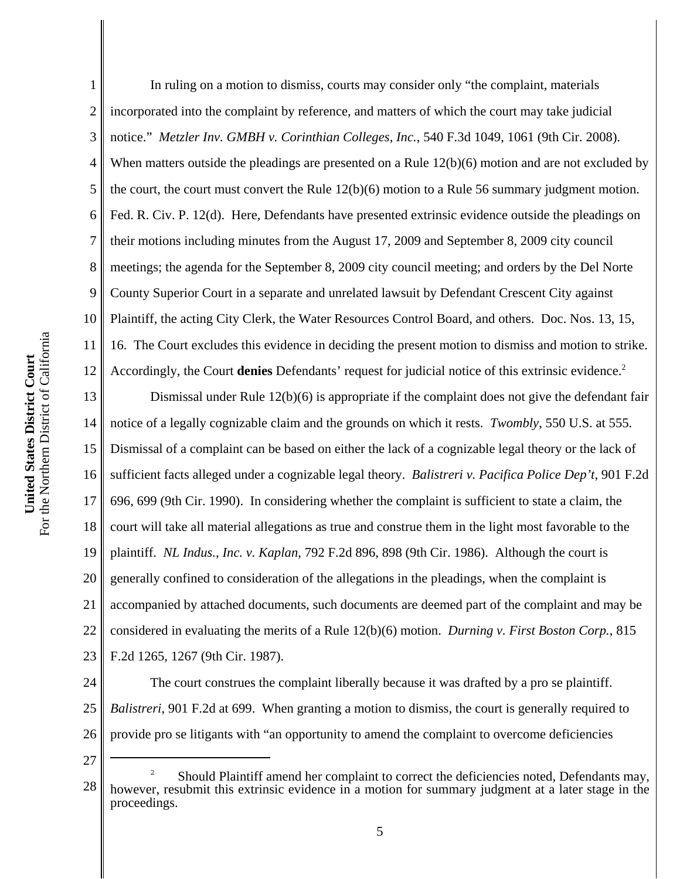1 2 3 4 5 6 7 8 9 10 In ruling on a motion to dismiss, courts may consider only "the complaint, materials incorporated into the complaint by reference, and matters of which the court may take judicial notice." *Metzler Inv. GMBH v. Corinthian Colleges, Inc.*, 540 F.3d 1049, 1061 (9th Cir. 2008). When matters outside the pleadings are presented on a Rule 12(b)(6) motion and are not excluded by the court, the court must convert the Rule 12(b)(6) motion to a Rule 56 summary judgment motion. Fed. R. Civ. P. 12(d). Here, Defendants have presented extrinsic evidence outside the pleadings on their motions including minutes from the August 17, 2009 and September 8, 2009 city council meetings; the agenda for the September 8, 2009 city council meeting; and orders by the Del Norte County Superior Court in a separate and unrelated lawsuit by Defendant Crescent City against Plaintiff, the acting City Clerk, the Water Resources Control Board, and others. Doc. Nos. 13, 15, 16. The Court excludes this evidence in deciding the present motion to dismiss and motion to strike. Accordingly, the Court **denies** Defendants' request for judicial notice of this extrinsic evidence.2

13 14 15 16 17 18 19 20 21 22 23 Dismissal under Rule 12(b)(6) is appropriate if the complaint does not give the defendant fair notice of a legally cognizable claim and the grounds on which it rests. *Twombly*, 550 U.S. at 555. Dismissal of a complaint can be based on either the lack of a cognizable legal theory or the lack of sufficient facts alleged under a cognizable legal theory. *Balistreri v. Pacifica Police Dep't*, 901 F.2d 696, 699 (9th Cir. 1990). In considering whether the complaint is sufficient to state a claim, the court will take all material allegations as true and construe them in the light most favorable to the plaintiff. *NL Indus., Inc. v. Kaplan*, 792 F.2d 896, 898 (9th Cir. 1986). Although the court is generally confined to consideration of the allegations in the pleadings, when the complaint is accompanied by attached documents, such documents are deemed part of the complaint and may be considered in evaluating the merits of a Rule 12(b)(6) motion. *Durning v. First Boston Corp.*, 815 F.2d 1265, 1267 (9th Cir. 1987).

24 25 26 The court construes the complaint liberally because it was drafted by a pro se plaintiff. *Balistreri*, 901 F.2d at 699. When granting a motion to dismiss, the court is generally required to provide pro se litigants with "an opportunity to amend the complaint to overcome deficiencies

<sup>28</sup> 2 Should Plaintiff amend her complaint to correct the deficiencies noted, Defendants may, however, resubmit this extrinsic evidence in a motion for summary judgment at a later stage in the proceedings.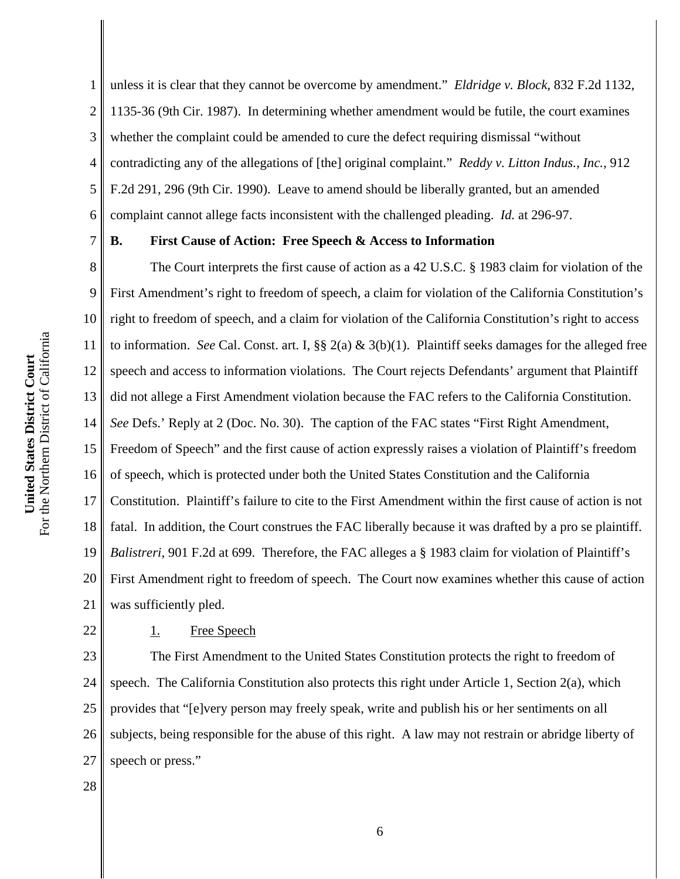1 2 3 4 5 6 unless it is clear that they cannot be overcome by amendment." *Eldridge v. Block*, 832 F.2d 1132, 1135-36 (9th Cir. 1987). In determining whether amendment would be futile, the court examines whether the complaint could be amended to cure the defect requiring dismissal "without contradicting any of the allegations of [the] original complaint." *Reddy v. Litton Indus., Inc.*, 912 F.2d 291, 296 (9th Cir. 1990). Leave to amend should be liberally granted, but an amended complaint cannot allege facts inconsistent with the challenged pleading. *Id.* at 296-97.

7

# **B. First Cause of Action: Free Speech & Access to Information**

8 9 10 11 12 13 14 15 16 17 18 19 20 21 The Court interprets the first cause of action as a 42 U.S.C. § 1983 claim for violation of the First Amendment's right to freedom of speech, a claim for violation of the California Constitution's right to freedom of speech, and a claim for violation of the California Constitution's right to access to information. *See* Cal. Const. art. I, §§ 2(a) & 3(b)(1). Plaintiff seeks damages for the alleged free speech and access to information violations. The Court rejects Defendants' argument that Plaintiff did not allege a First Amendment violation because the FAC refers to the California Constitution. *See* Defs.' Reply at 2 (Doc. No. 30). The caption of the FAC states "First Right Amendment, Freedom of Speech" and the first cause of action expressly raises a violation of Plaintiff's freedom of speech, which is protected under both the United States Constitution and the California Constitution. Plaintiff's failure to cite to the First Amendment within the first cause of action is not fatal. In addition, the Court construes the FAC liberally because it was drafted by a pro se plaintiff. *Balistreri*, 901 F.2d at 699. Therefore, the FAC alleges a § 1983 claim for violation of Plaintiff's First Amendment right to freedom of speech. The Court now examines whether this cause of action was sufficiently pled.

For the Northern District of California For the Northern District of California

**United States District Court**

United States District Court

### 1. Free Speech

23 24 25 26 27 The First Amendment to the United States Constitution protects the right to freedom of speech. The California Constitution also protects this right under Article 1, Section 2(a), which provides that "[e]very person may freely speak, write and publish his or her sentiments on all subjects, being responsible for the abuse of this right. A law may not restrain or abridge liberty of speech or press."

28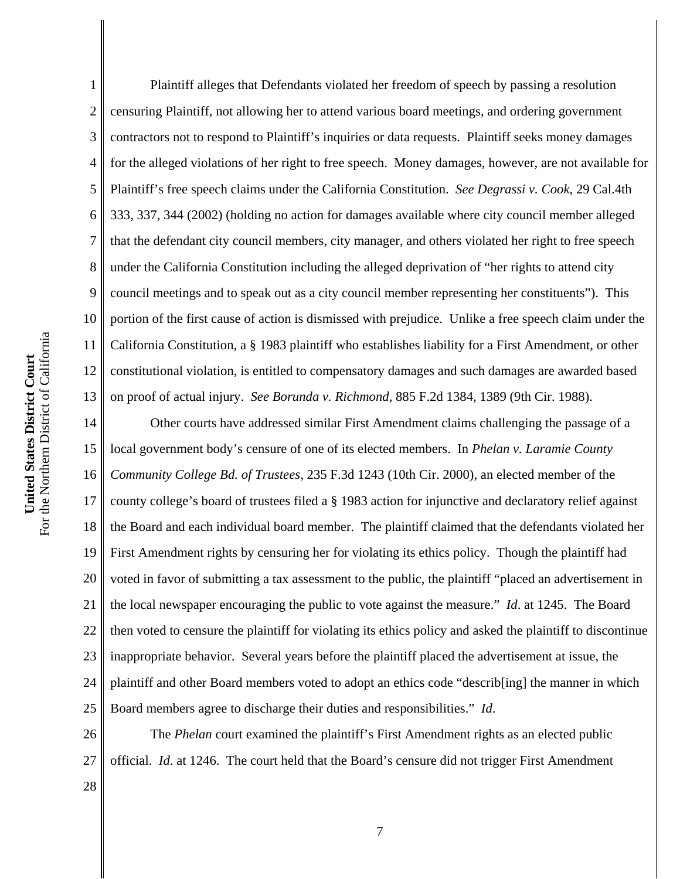1 2 3 4 Plaintiff alleges that Defendants violated her freedom of speech by passing a resolution censuring Plaintiff, not allowing her to attend various board meetings, and ordering government contractors not to respond to Plaintiff's inquiries or data requests. Plaintiff seeks money damages for the alleged violations of her right to free speech. Money damages, however, are not available for Plaintiff's free speech claims under the California Constitution. *See Degrassi v. Cook*, 29 Cal.4th 333, 337, 344 (2002) (holding no action for damages available where city council member alleged that the defendant city council members, city manager, and others violated her right to free speech under the California Constitution including the alleged deprivation of "her rights to attend city council meetings and to speak out as a city council member representing her constituents"). This portion of the first cause of action is dismissed with prejudice. Unlike a free speech claim under the California Constitution, a § 1983 plaintiff who establishes liability for a First Amendment, or other constitutional violation, is entitled to compensatory damages and such damages are awarded based on proof of actual injury. *See Borunda v. Richmond*, 885 F.2d 1384, 1389 (9th Cir. 1988).

18 19 20 21 22 23 24 25 Other courts have addressed similar First Amendment claims challenging the passage of a local government body's censure of one of its elected members. In *Phelan v. Laramie County Community College Bd. of Trustees*, 235 F.3d 1243 (10th Cir. 2000), an elected member of the county college's board of trustees filed a § 1983 action for injunctive and declaratory relief against the Board and each individual board member. The plaintiff claimed that the defendants violated her First Amendment rights by censuring her for violating its ethics policy. Though the plaintiff had voted in favor of submitting a tax assessment to the public, the plaintiff "placed an advertisement in the local newspaper encouraging the public to vote against the measure." *Id*. at 1245. The Board then voted to censure the plaintiff for violating its ethics policy and asked the plaintiff to discontinue inappropriate behavior. Several years before the plaintiff placed the advertisement at issue, the plaintiff and other Board members voted to adopt an ethics code "describ[ing] the manner in which Board members agree to discharge their duties and responsibilities." *Id*.

26 27 The *Phelan* court examined the plaintiff's First Amendment rights as an elected public official. *Id*. at 1246. The court held that the Board's censure did not trigger First Amendment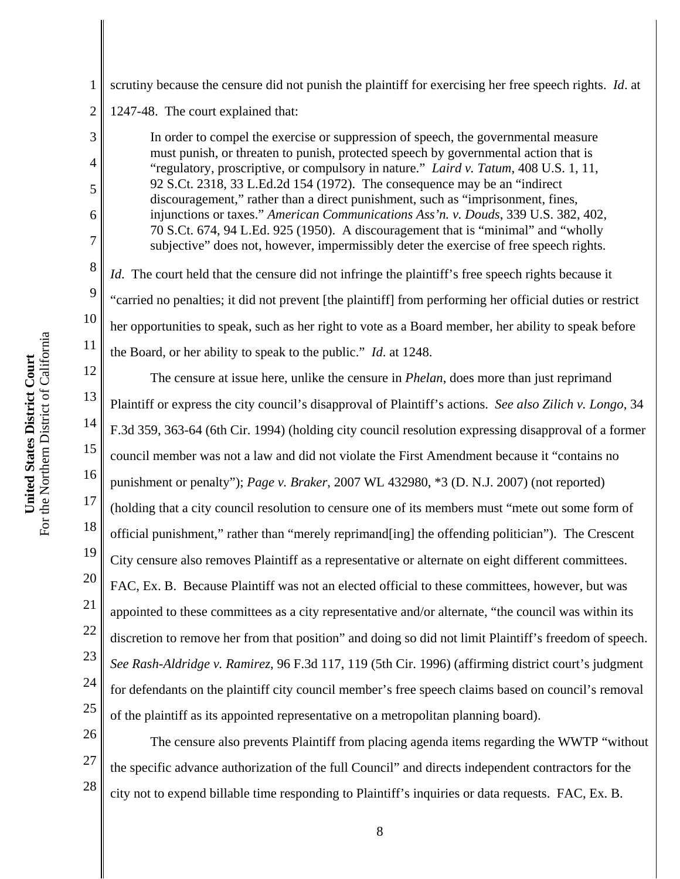1 scrutiny because the censure did not punish the plaintiff for exercising her free speech rights. *Id*. at

2 1247-48. The court explained that:

3

4

5

6

7

8

9

10

11

17

26

27

28

In order to compel the exercise or suppression of speech, the governmental measure must punish, or threaten to punish, protected speech by governmental action that is "regulatory, proscriptive, or compulsory in nature." *Laird v. Tatum*, 408 U.S. 1, 11, 92 S.Ct. 2318, 33 L.Ed.2d 154 (1972). The consequence may be an "indirect discouragement," rather than a direct punishment, such as "imprisonment, fines, injunctions or taxes." *American Communications Ass'n. v. Douds*, 339 U.S. 382, 402, 70 S.Ct. 674, 94 L.Ed. 925 (1950). A discouragement that is "minimal" and "wholly subjective" does not, however, impermissibly deter the exercise of free speech rights.

*Id*. The court held that the censure did not infringe the plaintiff's free speech rights because it "carried no penalties; it did not prevent [the plaintiff] from performing her official duties or restrict her opportunities to speak, such as her right to vote as a Board member, her ability to speak before the Board, or her ability to speak to the public." *Id*. at 1248.

12 13 14 15 16 18 19 20 21 22 23 24 25 The censure at issue here, unlike the censure in *Phelan*, does more than just reprimand Plaintiff or express the city council's disapproval of Plaintiff's actions. *See also Zilich v. Longo*, 34 F.3d 359, 363-64 (6th Cir. 1994) (holding city council resolution expressing disapproval of a former council member was not a law and did not violate the First Amendment because it "contains no punishment or penalty"); *Page v. Braker*, 2007 WL 432980, \*3 (D. N.J. 2007) (not reported) (holding that a city council resolution to censure one of its members must "mete out some form of official punishment," rather than "merely reprimand[ing] the offending politician"). The Crescent City censure also removes Plaintiff as a representative or alternate on eight different committees. FAC, Ex. B. Because Plaintiff was not an elected official to these committees, however, but was appointed to these committees as a city representative and/or alternate, "the council was within its discretion to remove her from that position" and doing so did not limit Plaintiff's freedom of speech. *See Rash-Aldridge v. Ramirez*, 96 F.3d 117, 119 (5th Cir. 1996) (affirming district court's judgment for defendants on the plaintiff city council member's free speech claims based on council's removal of the plaintiff as its appointed representative on a metropolitan planning board).

The censure also prevents Plaintiff from placing agenda items regarding the WWTP "without the specific advance authorization of the full Council" and directs independent contractors for the city not to expend billable time responding to Plaintiff's inquiries or data requests. FAC, Ex. B.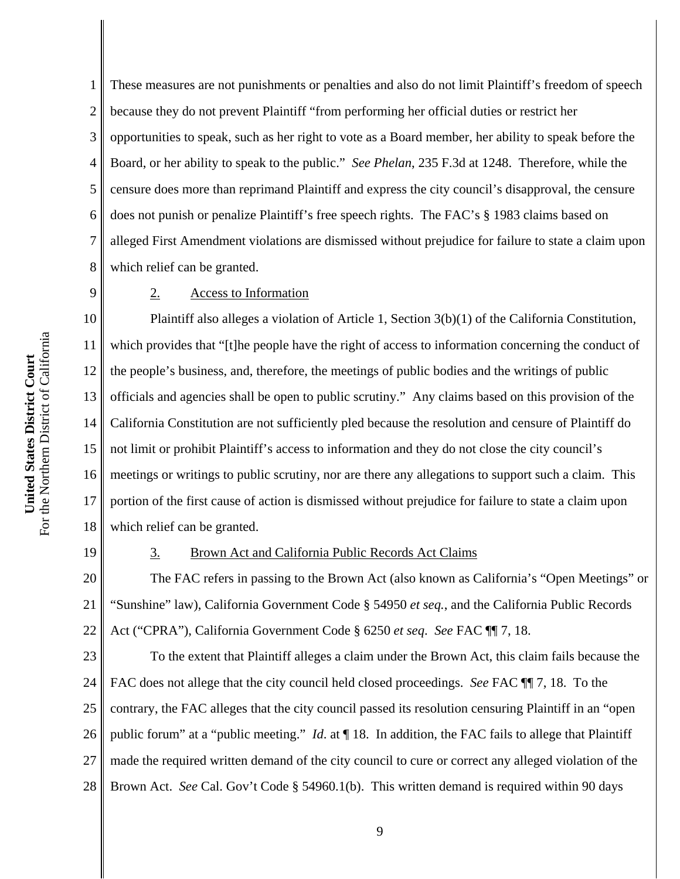1 2 3 4 5 6 7 8 These measures are not punishments or penalties and also do not limit Plaintiff's freedom of speech because they do not prevent Plaintiff "from performing her official duties or restrict her opportunities to speak, such as her right to vote as a Board member, her ability to speak before the Board, or her ability to speak to the public." *See Phelan*, 235 F.3d at 1248.Therefore, while the censure does more than reprimand Plaintiff and express the city council's disapproval, the censure does not punish or penalize Plaintiff's free speech rights. The FAC's § 1983 claims based on alleged First Amendment violations are dismissed without prejudice for failure to state a claim upon which relief can be granted.

9

#### 2. Access to Information

10 11 12 13 14 15 16 17 18 Plaintiff also alleges a violation of Article 1, Section 3(b)(1) of the California Constitution, which provides that "[t]he people have the right of access to information concerning the conduct of the people's business, and, therefore, the meetings of public bodies and the writings of public officials and agencies shall be open to public scrutiny." Any claims based on this provision of the California Constitution are not sufficiently pled because the resolution and censure of Plaintiff do not limit or prohibit Plaintiff's access to information and they do not close the city council's meetings or writings to public scrutiny, nor are there any allegations to support such a claim. This portion of the first cause of action is dismissed without prejudice for failure to state a claim upon which relief can be granted.

19

### 3. Brown Act and California Public Records Act Claims

20 21 22 The FAC refers in passing to the Brown Act (also known as California's "Open Meetings" or "Sunshine" law), California Government Code § 54950 *et seq.*, and the California Public Records Act ("CPRA"), California Government Code § 6250 *et seq*. *See* FAC ¶¶ 7, 18.

23 24 25 26 27 28 To the extent that Plaintiff alleges a claim under the Brown Act, this claim fails because the FAC does not allege that the city council held closed proceedings. *See* FAC ¶¶ 7, 18. To the contrary, the FAC alleges that the city council passed its resolution censuring Plaintiff in an "open public forum" at a "public meeting." *Id*. at ¶ 18. In addition, the FAC fails to allege that Plaintiff made the required written demand of the city council to cure or correct any alleged violation of the Brown Act. *See* Cal. Gov't Code § 54960.1(b). This written demand is required within 90 days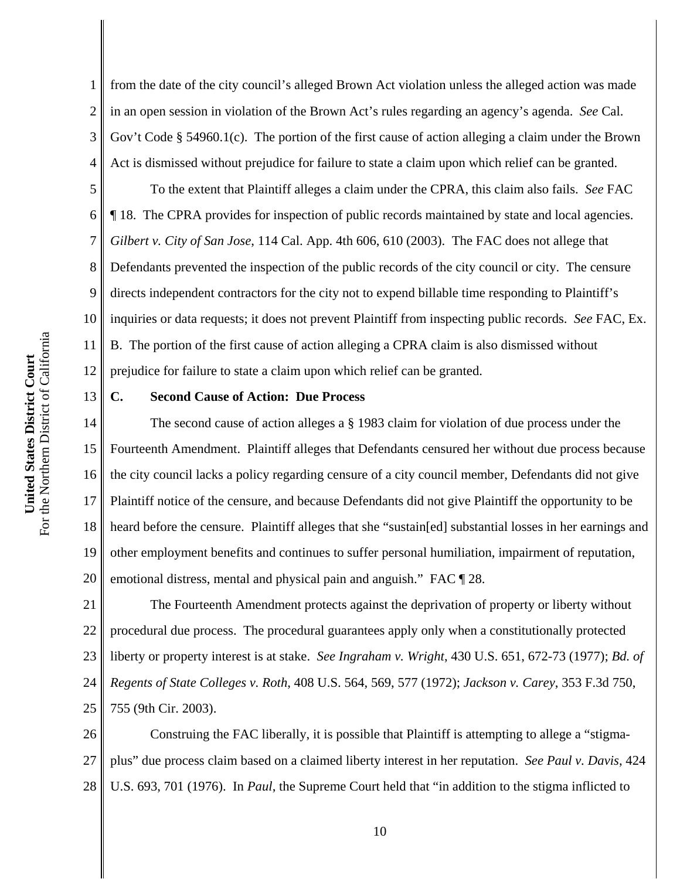1 2 3 4 from the date of the city council's alleged Brown Act violation unless the alleged action was made in an open session in violation of the Brown Act's rules regarding an agency's agenda. *See* Cal. Gov't Code § 54960.1(c). The portion of the first cause of action alleging a claim under the Brown Act is dismissed without prejudice for failure to state a claim upon which relief can be granted.

5 6 7 8 9 10 11 12 To the extent that Plaintiff alleges a claim under the CPRA, this claim also fails. *See* FAC ¶ 18. The CPRA provides for inspection of public records maintained by state and local agencies. *Gilbert v. City of San Jose*, 114 Cal. App. 4th 606, 610 (2003). The FAC does not allege that Defendants prevented the inspection of the public records of the city council or city. The censure directs independent contractors for the city not to expend billable time responding to Plaintiff's inquiries or data requests; it does not prevent Plaintiff from inspecting public records. *See* FAC, Ex. B. The portion of the first cause of action alleging a CPRA claim is also dismissed without prejudice for failure to state a claim upon which relief can be granted.

### **C. Second Cause of Action: Due Process**

14 15 16 17 18 19 20 The second cause of action alleges a § 1983 claim for violation of due process under the Fourteenth Amendment. Plaintiff alleges that Defendants censured her without due process because the city council lacks a policy regarding censure of a city council member, Defendants did not give Plaintiff notice of the censure, and because Defendants did not give Plaintiff the opportunity to be heard before the censure. Plaintiff alleges that she "sustain[ed] substantial losses in her earnings and other employment benefits and continues to suffer personal humiliation, impairment of reputation, emotional distress, mental and physical pain and anguish." FAC  $\P$  28.

21 22 23 24 25 The Fourteenth Amendment protects against the deprivation of property or liberty without procedural due process. The procedural guarantees apply only when a constitutionally protected liberty or property interest is at stake. *See Ingraham v. Wright*, 430 U.S. 651, 672-73 (1977); *Bd. of Regents of State Colleges v. Roth*, 408 U.S. 564, 569, 577 (1972); *Jackson v. Carey*, 353 F.3d 750, 755 (9th Cir. 2003).

26 27 28 Construing the FAC liberally, it is possible that Plaintiff is attempting to allege a "stigmaplus" due process claim based on a claimed liberty interest in her reputation. *See Paul v. Davis*, 424 U.S. 693, 701 (1976). In *Paul*, the Supreme Court held that "in addition to the stigma inflicted to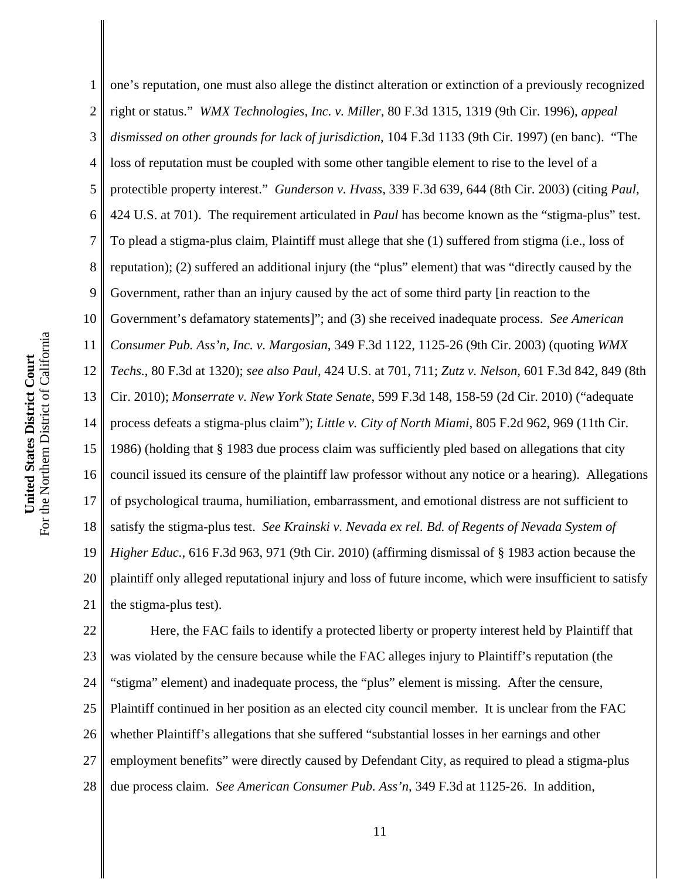1 2 3 4 5 6 7 8 9 10 11 12 13 14 15 16 17 18 19 20 21 one's reputation, one must also allege the distinct alteration or extinction of a previously recognized right or status." *WMX Technologies, Inc. v. Miller*, 80 F.3d 1315, 1319 (9th Cir. 1996), *appeal dismissed on other grounds for lack of jurisdiction*, 104 F.3d 1133 (9th Cir. 1997) (en banc). "The loss of reputation must be coupled with some other tangible element to rise to the level of a protectible property interest." *Gunderson v. Hvass*, 339 F.3d 639, 644 (8th Cir. 2003) (citing *Paul*, 424 U.S. at 701). The requirement articulated in *Paul* has become known as the "stigma-plus" test. To plead a stigma-plus claim, Plaintiff must allege that she (1) suffered from stigma (i.e., loss of reputation); (2) suffered an additional injury (the "plus" element) that was "directly caused by the Government, rather than an injury caused by the act of some third party [in reaction to the Government's defamatory statements]"; and (3) she received inadequate process. *See American Consumer Pub. Ass'n, Inc. v. Margosian*, 349 F.3d 1122, 1125-26 (9th Cir. 2003) (quoting *WMX Techs.*, 80 F.3d at 1320); *see also Paul*, 424 U.S. at 701, 711; *Zutz v. Nelson*, 601 F.3d 842, 849 (8th Cir. 2010); *Monserrate v. New York State Senate*, 599 F.3d 148, 158-59 (2d Cir. 2010) ("adequate process defeats a stigma-plus claim"); *Little v. City of North Miami*, 805 F.2d 962, 969 (11th Cir. 1986) (holding that § 1983 due process claim was sufficiently pled based on allegations that city council issued its censure of the plaintiff law professor without any notice or a hearing). Allegations of psychological trauma, humiliation, embarrassment, and emotional distress are not sufficient to satisfy the stigma-plus test. *See Krainski v. Nevada ex rel. Bd. of Regents of Nevada System of Higher Educ.*, 616 F.3d 963, 971 (9th Cir. 2010) (affirming dismissal of § 1983 action because the plaintiff only alleged reputational injury and loss of future income, which were insufficient to satisfy the stigma-plus test).

22 23 24 25 26 27 28 Here, the FAC fails to identify a protected liberty or property interest held by Plaintiff that was violated by the censure because while the FAC alleges injury to Plaintiff's reputation (the "stigma" element) and inadequate process, the "plus" element is missing. After the censure, Plaintiff continued in her position as an elected city council member. It is unclear from the FAC whether Plaintiff's allegations that she suffered "substantial losses in her earnings and other employment benefits" were directly caused by Defendant City, as required to plead a stigma-plus due process claim. *See American Consumer Pub. Ass'n*, 349 F.3d at 1125-26. In addition,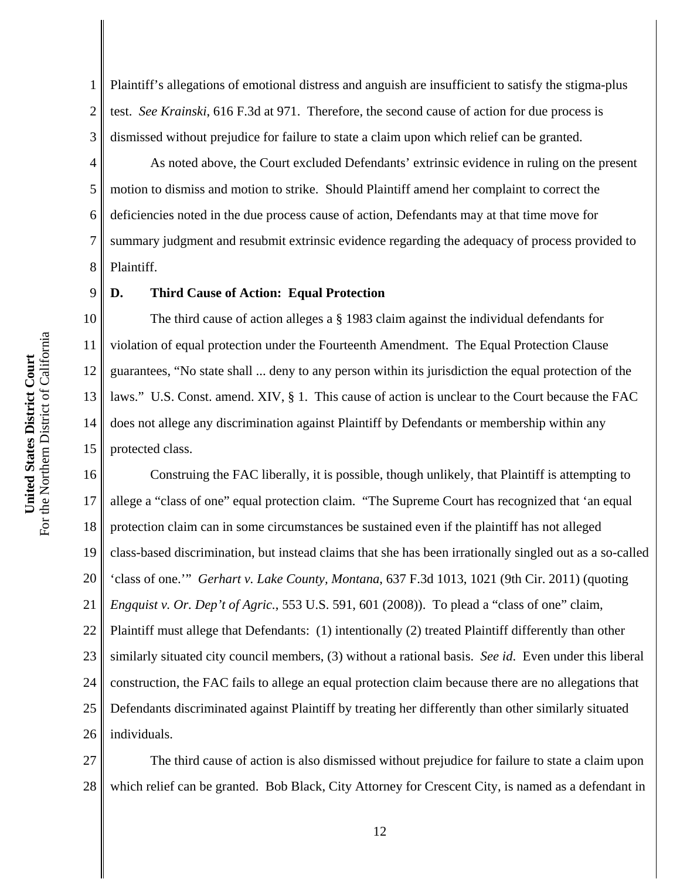1 2 3 Plaintiff's allegations of emotional distress and anguish are insufficient to satisfy the stigma-plus test. *See Krainski*, 616 F.3d at 971. Therefore, the second cause of action for due process is dismissed without prejudice for failure to state a claim upon which relief can be granted.

4 5 6 8 As noted above, the Court excluded Defendants' extrinsic evidence in ruling on the present motion to dismiss and motion to strike. Should Plaintiff amend her complaint to correct the deficiencies noted in the due process cause of action, Defendants may at that time move for summary judgment and resubmit extrinsic evidence regarding the adequacy of process provided to Plaintiff.

9

7

#### **D. Third Cause of Action: Equal Protection**

10 11 12 13 14 15 The third cause of action alleges a § 1983 claim against the individual defendants for violation of equal protection under the Fourteenth Amendment. The Equal Protection Clause guarantees, "No state shall ... deny to any person within its jurisdiction the equal protection of the laws." U.S. Const. amend. XIV, § 1. This cause of action is unclear to the Court because the FAC does not allege any discrimination against Plaintiff by Defendants or membership within any protected class.

16 17 18 19 20 21 22 23 24 25 26 Construing the FAC liberally, it is possible, though unlikely, that Plaintiff is attempting to allege a "class of one" equal protection claim. "The Supreme Court has recognized that 'an equal protection claim can in some circumstances be sustained even if the plaintiff has not alleged class-based discrimination, but instead claims that she has been irrationally singled out as a so-called 'class of one.'" *Gerhart v. Lake County, Montana*, 637 F.3d 1013, 1021 (9th Cir. 2011) (quoting *Engquist v. Or. Dep't of Agric.*, 553 U.S. 591, 601 (2008)). To plead a "class of one" claim, Plaintiff must allege that Defendants: (1) intentionally (2) treated Plaintiff differently than other similarly situated city council members, (3) without a rational basis. *See id*. Even under this liberal construction, the FAC fails to allege an equal protection claim because there are no allegations that Defendants discriminated against Plaintiff by treating her differently than other similarly situated individuals.

27 28 The third cause of action is also dismissed without prejudice for failure to state a claim upon which relief can be granted. Bob Black, City Attorney for Crescent City, is named as a defendant in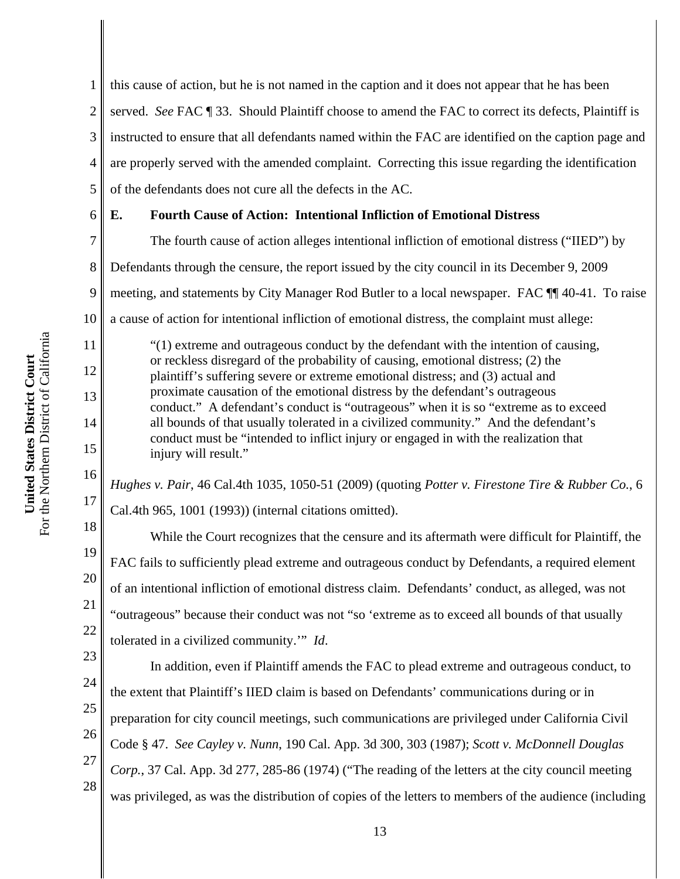1 2 3 4 5 this cause of action, but he is not named in the caption and it does not appear that he has been served. *See* FAC ¶ 33. Should Plaintiff choose to amend the FAC to correct its defects, Plaintiff is instructed to ensure that all defendants named within the FAC are identified on the caption page and are properly served with the amended complaint. Correcting this issue regarding the identification of the defendants does not cure all the defects in the AC.

6

7

8

9

10

11

12

13

14

15

16

17

18

19

20

21

22

# **E. Fourth Cause of Action: Intentional Infliction of Emotional Distress**

The fourth cause of action alleges intentional infliction of emotional distress ("IIED") by Defendants through the censure, the report issued by the city council in its December 9, 2009 meeting, and statements by City Manager Rod Butler to a local newspaper. FAC ¶¶ 40-41. To raise a cause of action for intentional infliction of emotional distress, the complaint must allege: "(1) extreme and outrageous conduct by the defendant with the intention of causing, or reckless disregard of the probability of causing, emotional distress; (2) the

plaintiff's suffering severe or extreme emotional distress; and (3) actual and proximate causation of the emotional distress by the defendant's outrageous conduct." A defendant's conduct is "outrageous" when it is so "extreme as to exceed all bounds of that usually tolerated in a civilized community." And the defendant's conduct must be "intended to inflict injury or engaged in with the realization that injury will result."

*Hughes v. Pair*, 46 Cal.4th 1035, 1050-51 (2009) (quoting *Potter v. Firestone Tire & Rubber Co.*, 6 Cal.4th 965, 1001 (1993)) (internal citations omitted).

While the Court recognizes that the censure and its aftermath were difficult for Plaintiff, the FAC fails to sufficiently plead extreme and outrageous conduct by Defendants, a required element of an intentional infliction of emotional distress claim. Defendants' conduct, as alleged, was not "outrageous" because their conduct was not "so 'extreme as to exceed all bounds of that usually tolerated in a civilized community.'" *Id*.

23 24 25 26 27 28 In addition, even if Plaintiff amends the FAC to plead extreme and outrageous conduct, to the extent that Plaintiff's IIED claim is based on Defendants' communications during or in preparation for city council meetings, such communications are privileged under California Civil Code § 47. *See Cayley v. Nunn*, 190 Cal. App. 3d 300, 303 (1987); *Scott v. McDonnell Douglas Corp.*, 37 Cal. App. 3d 277, 285-86 (1974) ("The reading of the letters at the city council meeting was privileged, as was the distribution of copies of the letters to members of the audience (including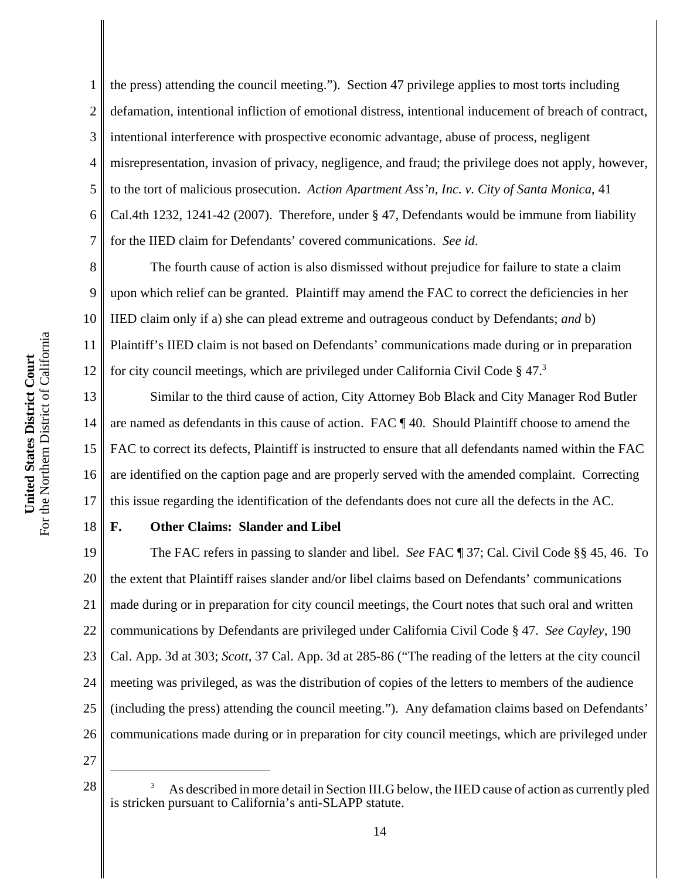11

18

1 2 3 4 5 6 7 the press) attending the council meeting.").Section 47 privilege applies to most torts including defamation, intentional infliction of emotional distress, intentional inducement of breach of contract, intentional interference with prospective economic advantage, abuse of process, negligent misrepresentation, invasion of privacy, negligence, and fraud; the privilege does not apply, however, to the tort of malicious prosecution. *Action Apartment Ass'n, Inc. v. City of Santa Monica*, 41 Cal.4th 1232, 1241-42 (2007). Therefore, under § 47, Defendants would be immune from liability for the IIED claim for Defendants' covered communications. *See id*.

8 9 10 12 The fourth cause of action is also dismissed without prejudice for failure to state a claim upon which relief can be granted. Plaintiff may amend the FAC to correct the deficiencies in her IIED claim only if a) she can plead extreme and outrageous conduct by Defendants; *and* b) Plaintiff's IIED claim is not based on Defendants' communications made during or in preparation for city council meetings, which are privileged under California Civil Code  $\S 47<sup>3</sup>$ 

13 14 15 16 17 Similar to the third cause of action, City Attorney Bob Black and City Manager Rod Butler are named as defendants in this cause of action. FAC ¶ 40. Should Plaintiff choose to amend the FAC to correct its defects, Plaintiff is instructed to ensure that all defendants named within the FAC are identified on the caption page and are properly served with the amended complaint. Correcting this issue regarding the identification of the defendants does not cure all the defects in the AC.

# **F. Other Claims: Slander and Libel**

19 20 21 22 23 24 25 26 The FAC refers in passing to slander and libel. *See* FAC ¶ 37; Cal. Civil Code §§ 45, 46. To the extent that Plaintiff raises slander and/or libel claims based on Defendants' communications made during or in preparation for city council meetings, the Court notes that such oral and written communications by Defendants are privileged under California Civil Code § 47. *See Cayley*, 190 Cal. App. 3d at 303; *Scott*, 37 Cal. App. 3d at 285-86 ("The reading of the letters at the city council meeting was privileged, as was the distribution of copies of the letters to members of the audience (including the press) attending the council meeting.").Any defamation claims based on Defendants' communications made during or in preparation for city council meetings, which are privileged under

<sup>28</sup>  As described in more detail in Section III.G below, the IIED cause of action as currently pled is stricken pursuant to California's anti-SLAPP statute.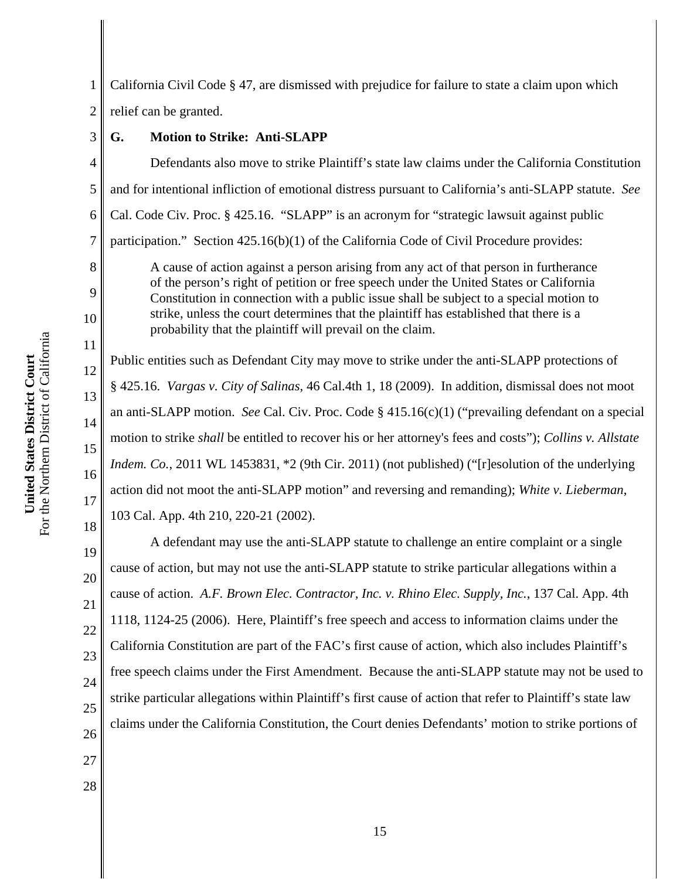3

8

9

10

11

12

13

14

15

16

17

18

1 2 California Civil Code § 47, are dismissed with prejudice for failure to state a claim upon which relief can be granted.

**G. Motion to Strike: Anti-SLAPP**

4 5 6 7 Defendants also move to strike Plaintiff's state law claims under the California Constitution and for intentional infliction of emotional distress pursuant to California's anti-SLAPP statute. *See* Cal. Code Civ. Proc. § 425.16. "SLAPP" is an acronym for "strategic lawsuit against public participation." Section 425.16(b)(1) of the California Code of Civil Procedure provides:

A cause of action against a person arising from any act of that person in furtherance of the person's right of petition or free speech under the United States or California Constitution in connection with a public issue shall be subject to a special motion to strike, unless the court determines that the plaintiff has established that there is a probability that the plaintiff will prevail on the claim.

Public entities such as Defendant City may move to strike under the anti-SLAPP protections of § 425.16. *Vargas v. City of Salinas*, 46 Cal.4th 1, 18 (2009). In addition, dismissal does not moot an anti-SLAPP motion. *See* Cal. Civ. Proc. Code § 415.16(c)(1) ("prevailing defendant on a special motion to strike *shall* be entitled to recover his or her attorney's fees and costs"); *Collins v. Allstate Indem. Co.*, 2011 WL 1453831, \*2 (9th Cir. 2011) (not published) ("[r]esolution of the underlying action did not moot the anti-SLAPP motion" and reversing and remanding); *White v. Lieberman*, 103 Cal. App. 4th 210, 220-21 (2002).

19 20 21 22 23 24 25 26 A defendant may use the anti-SLAPP statute to challenge an entire complaint or a single cause of action, but may not use the anti-SLAPP statute to strike particular allegations within a cause of action. *A.F. Brown Elec. Contractor, Inc. v. Rhino Elec. Supply, Inc.*, 137 Cal. App. 4th 1118, 1124-25 (2006). Here, Plaintiff's free speech and access to information claims under the California Constitution are part of the FAC's first cause of action, which also includes Plaintiff's free speech claims under the First Amendment. Because the anti-SLAPP statute may not be used to strike particular allegations within Plaintiff's first cause of action that refer to Plaintiff's state law claims under the California Constitution, the Court denies Defendants' motion to strike portions of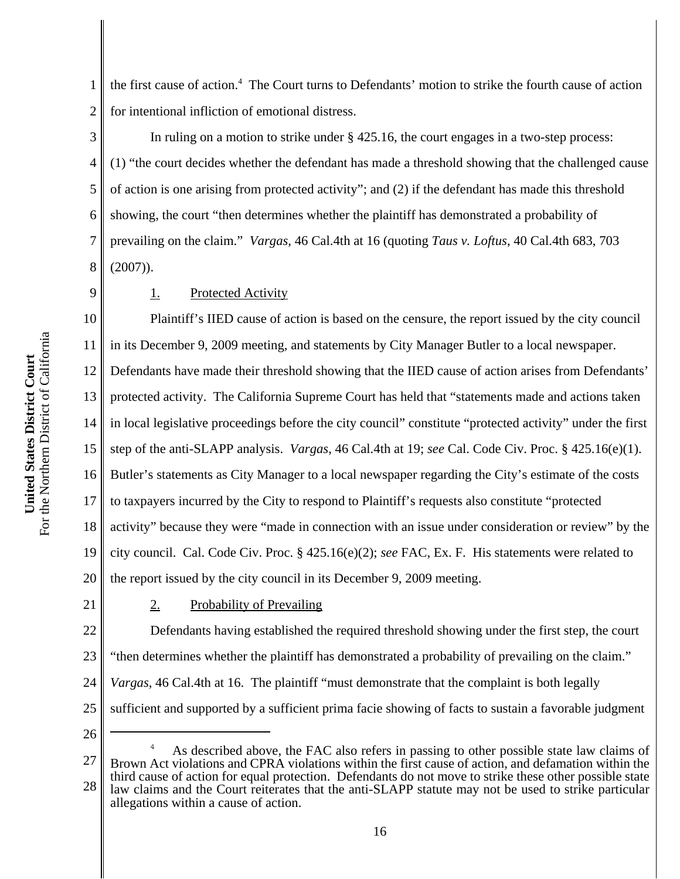1 2 the first cause of action.<sup>4</sup> The Court turns to Defendants' motion to strike the fourth cause of action for intentional infliction of emotional distress.

3 4 5 6 7 8 In ruling on a motion to strike under  $\S$  425.16, the court engages in a two-step process: (1) "the court decides whether the defendant has made a threshold showing that the challenged cause of action is one arising from protected activity"; and (2) if the defendant has made this threshold showing, the court "then determines whether the plaintiff has demonstrated a probability of prevailing on the claim." *Vargas*, 46 Cal.4th at 16 (quoting *Taus v. Loftus*, 40 Cal.4th 683, 703 (2007)).

1. Protected Activity

10 11 12 13 14 15 16 17 18 19 20 Plaintiff's IIED cause of action is based on the censure, the report issued by the city council in its December 9, 2009 meeting, and statements by City Manager Butler to a local newspaper. Defendants have made their threshold showing that the IIED cause of action arises from Defendants' protected activity. The California Supreme Court has held that "statements made and actions taken in local legislative proceedings before the city council" constitute "protected activity" under the first step of the anti-SLAPP analysis. *Vargas*, 46 Cal.4th at 19; *see* Cal. Code Civ. Proc. § 425.16(e)(1). Butler's statements as City Manager to a local newspaper regarding the City's estimate of the costs to taxpayers incurred by the City to respond to Plaintiff's requests also constitute "protected activity" because they were "made in connection with an issue under consideration or review" by the city council. Cal. Code Civ. Proc. § 425.16(e)(2); *see* FAC, Ex. F. His statements were related to the report issued by the city council in its December 9, 2009 meeting.

21

9

2. Probability of Prevailing

22 23 24 25 Defendants having established the required threshold showing under the first step, the court "then determines whether the plaintiff has demonstrated a probability of prevailing on the claim." *Vargas*, 46 Cal.4th at 16. The plaintiff "must demonstrate that the complaint is both legally sufficient and supported by a sufficient prima facie showing of facts to sustain a favorable judgment

<sup>27</sup> 28 4 As described above, the FAC also refers in passing to other possible state law claims of Brown Act violations and CPRA violations within the first cause of action, and defamation within the third cause of action for equal protection. Defendants do not move to strike these other possible state law claims and the Court reiterates that the anti-SLAPP statute may not be used to strike particular allegations within a cause of action.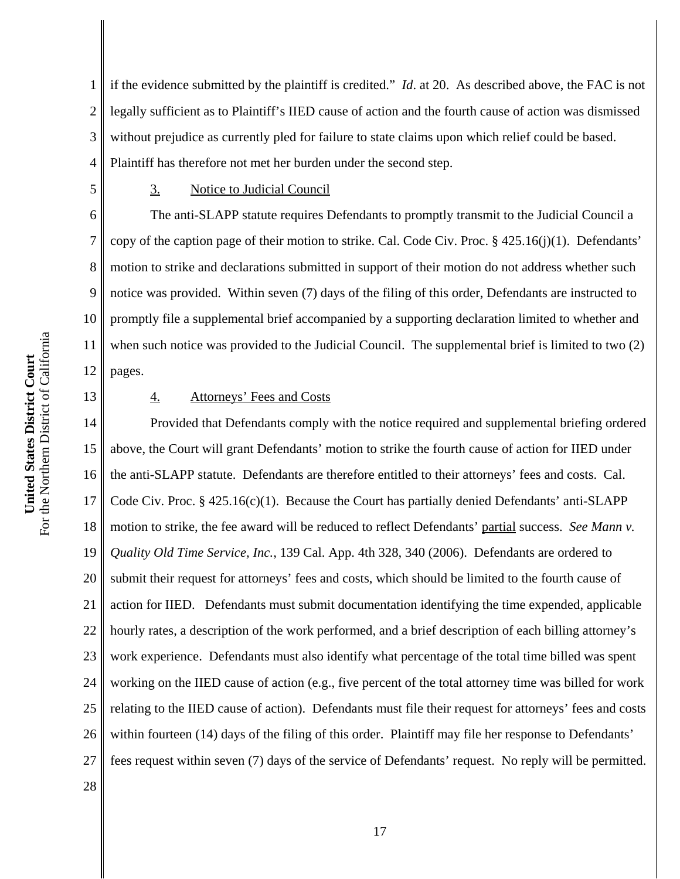1 2 3 4 if the evidence submitted by the plaintiff is credited." *Id*. at 20. As described above, the FAC is not legally sufficient as to Plaintiff's IIED cause of action and the fourth cause of action was dismissed without prejudice as currently pled for failure to state claims upon which relief could be based. Plaintiff has therefore not met her burden under the second step.

## 3. Notice to Judicial Council

The anti-SLAPP statute requires Defendants to promptly transmit to the Judicial Council a copy of the caption page of their motion to strike. Cal. Code Civ. Proc. § 425.16(j)(1). Defendants' motion to strike and declarations submitted in support of their motion do not address whether such notice was provided. Within seven (7) days of the filing of this order, Defendants are instructed to promptly file a supplemental brief accompanied by a supporting declaration limited to whether and when such notice was provided to the Judicial Council. The supplemental brief is limited to two (2) pages.

13

5

6

7

8

9

10

11

12

## 4. Attorneys' Fees and Costs

14 15 16 17 18 19 20 21 22 23 24 25 26 27 Provided that Defendants comply with the notice required and supplemental briefing ordered above, the Court will grant Defendants' motion to strike the fourth cause of action for IIED under the anti-SLAPP statute. Defendants are therefore entitled to their attorneys' fees and costs. Cal. Code Civ. Proc.  $\S$  425.16(c)(1). Because the Court has partially denied Defendants' anti-SLAPP motion to strike, the fee award will be reduced to reflect Defendants' partial success. *See Mann v. Quality Old Time Service, Inc.*, 139 Cal. App. 4th 328, 340 (2006). Defendants are ordered to submit their request for attorneys' fees and costs, which should be limited to the fourth cause of action for IIED. Defendants must submit documentation identifying the time expended, applicable hourly rates, a description of the work performed, and a brief description of each billing attorney's work experience. Defendants must also identify what percentage of the total time billed was spent working on the IIED cause of action (e.g., five percent of the total attorney time was billed for work relating to the IIED cause of action). Defendants must file their request for attorneys' fees and costs within fourteen (14) days of the filing of this order. Plaintiff may file her response to Defendants' fees request within seven (7) days of the service of Defendants' request. No reply will be permitted.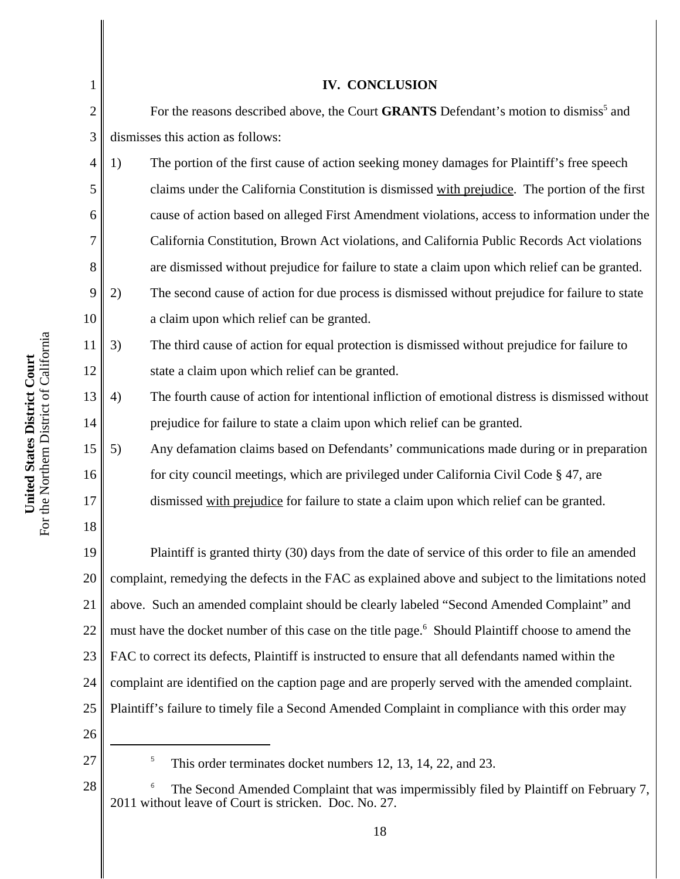| $\mathbf{1}$   | <b>IV. CONCLUSION</b>                                                                                                                               |
|----------------|-----------------------------------------------------------------------------------------------------------------------------------------------------|
| $\overline{2}$ | For the reasons described above, the Court GRANTS Defendant's motion to dismiss <sup>5</sup> and                                                    |
| 3              | dismisses this action as follows:                                                                                                                   |
| 4              | 1)<br>The portion of the first cause of action seeking money damages for Plaintiff's free speech                                                    |
| 5              | claims under the California Constitution is dismissed with prejudice. The portion of the first                                                      |
| 6              | cause of action based on alleged First Amendment violations, access to information under the                                                        |
| 7              | California Constitution, Brown Act violations, and California Public Records Act violations                                                         |
| 8              | are dismissed without prejudice for failure to state a claim upon which relief can be granted.                                                      |
| 9              | 2)<br>The second cause of action for due process is dismissed without prejudice for failure to state                                                |
| 10             | a claim upon which relief can be granted.                                                                                                           |
| 11             | 3)<br>The third cause of action for equal protection is dismissed without prejudice for failure to                                                  |
| 12             | state a claim upon which relief can be granted.                                                                                                     |
| 13             | The fourth cause of action for intentional infliction of emotional distress is dismissed without<br>4)                                              |
| 14             | prejudice for failure to state a claim upon which relief can be granted.                                                                            |
| 15             | Any defamation claims based on Defendants' communications made during or in preparation<br>5)                                                       |
| 16             | for city council meetings, which are privileged under California Civil Code § 47, are                                                               |
| 17             | dismissed with prejudice for failure to state a claim upon which relief can be granted.                                                             |
| 18             |                                                                                                                                                     |
| 19             | Plaintiff is granted thirty (30) days from the date of service of this order to file an amended                                                     |
| 20             | complaint, remedying the defects in the FAC as explained above and subject to the limitations noted                                                 |
| 21             | above. Such an amended complaint should be clearly labeled "Second Amended Complaint" and                                                           |
| 22             | must have the docket number of this case on the title page. <sup>6</sup> Should Plaintiff choose to amend the                                       |
| 23             | FAC to correct its defects, Plaintiff is instructed to ensure that all defendants named within the                                                  |
| 24             | complaint are identified on the caption page and are properly served with the amended complaint.                                                    |
| 25             | Plaintiff's failure to timely file a Second Amended Complaint in compliance with this order may                                                     |
| 26             |                                                                                                                                                     |
| 27             | 5<br>This order terminates docket numbers 12, 13, 14, 22, and 23.                                                                                   |
| 28             | 6<br>The Second Amended Complaint that was impermissibly filed by Plaintiff on February 7,<br>2011 without leave of Court is stricken. Doc. No. 27. |
|                |                                                                                                                                                     |